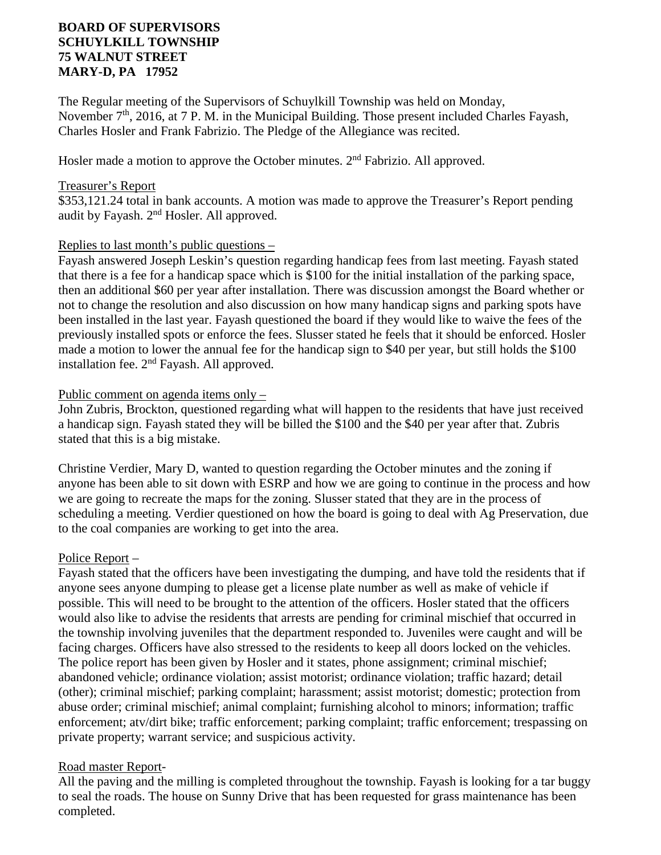### **BOARD OF SUPERVISORS SCHUYLKILL TOWNSHIP 75 WALNUT STREET MARY-D, PA 17952**

The Regular meeting of the Supervisors of Schuylkill Township was held on Monday, November  $7<sup>th</sup>$ , 2016, at 7 P. M. in the Municipal Building. Those present included Charles Fayash, Charles Hosler and Frank Fabrizio. The Pledge of the Allegiance was recited.

Hosler made a motion to approve the October minutes. 2<sup>nd</sup> Fabrizio. All approved.

### Treasurer's Report

\$353,121.24 total in bank accounts. A motion was made to approve the Treasurer's Report pending audit by Fayash. 2nd Hosler. All approved.

# Replies to last month's public questions –

Fayash answered Joseph Leskin's question regarding handicap fees from last meeting. Fayash stated that there is a fee for a handicap space which is \$100 for the initial installation of the parking space, then an additional \$60 per year after installation. There was discussion amongst the Board whether or not to change the resolution and also discussion on how many handicap signs and parking spots have been installed in the last year. Fayash questioned the board if they would like to waive the fees of the previously installed spots or enforce the fees. Slusser stated he feels that it should be enforced. Hosler made a motion to lower the annual fee for the handicap sign to \$40 per year, but still holds the \$100 installation fee. 2nd Fayash. All approved.

# Public comment on agenda items only –

John Zubris, Brockton, questioned regarding what will happen to the residents that have just received a handicap sign. Fayash stated they will be billed the \$100 and the \$40 per year after that. Zubris stated that this is a big mistake.

Christine Verdier, Mary D, wanted to question regarding the October minutes and the zoning if anyone has been able to sit down with ESRP and how we are going to continue in the process and how we are going to recreate the maps for the zoning. Slusser stated that they are in the process of scheduling a meeting. Verdier questioned on how the board is going to deal with Ag Preservation, due to the coal companies are working to get into the area.

# Police Report –

Fayash stated that the officers have been investigating the dumping, and have told the residents that if anyone sees anyone dumping to please get a license plate number as well as make of vehicle if possible. This will need to be brought to the attention of the officers. Hosler stated that the officers would also like to advise the residents that arrests are pending for criminal mischief that occurred in the township involving juveniles that the department responded to. Juveniles were caught and will be facing charges. Officers have also stressed to the residents to keep all doors locked on the vehicles. The police report has been given by Hosler and it states, phone assignment; criminal mischief; abandoned vehicle; ordinance violation; assist motorist; ordinance violation; traffic hazard; detail (other); criminal mischief; parking complaint; harassment; assist motorist; domestic; protection from abuse order; criminal mischief; animal complaint; furnishing alcohol to minors; information; traffic enforcement; atv/dirt bike; traffic enforcement; parking complaint; traffic enforcement; trespassing on private property; warrant service; and suspicious activity.

# Road master Report-

All the paving and the milling is completed throughout the township. Fayash is looking for a tar buggy to seal the roads. The house on Sunny Drive that has been requested for grass maintenance has been completed.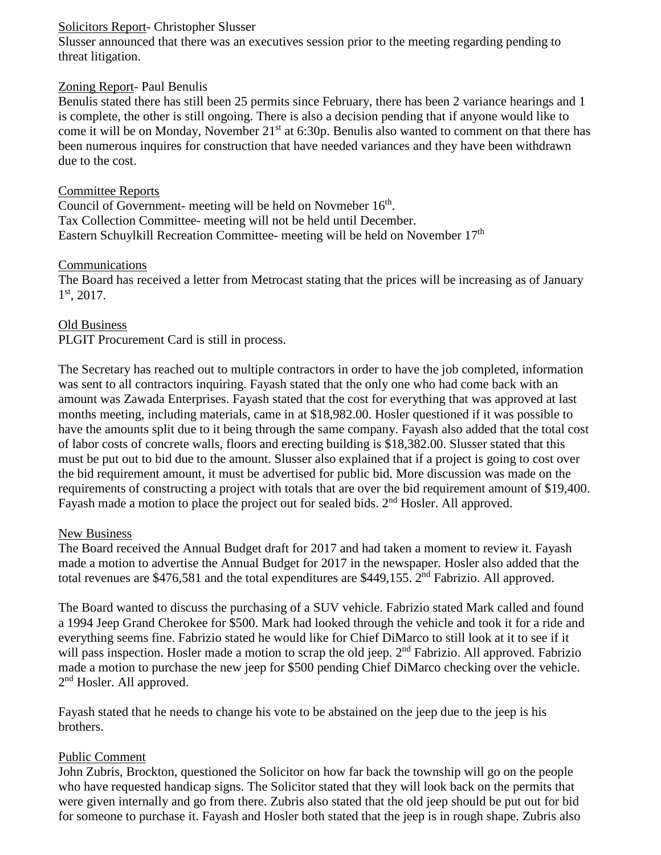# Solicitors Report- Christopher Slusser

Slusser announced that there was an executives session prior to the meeting regarding pending to threat litigation.

### Zoning Report- Paul Benulis

Benulis stated there has still been 25 permits since February, there has been 2 variance hearings and 1 is complete, the other is still ongoing. There is also a decision pending that if anyone would like to come it will be on Monday, November 21<sup>st</sup> at 6:30p. Benulis also wanted to comment on that there has been numerous inquires for construction that have needed variances and they have been withdrawn due to the cost.

#### Committee Reports

Council of Government- meeting will be held on Novmeber 16<sup>th</sup>. Tax Collection Committee- meeting will not be held until December. Eastern Schuylkill Recreation Committee- meeting will be held on November 17th

### Communications

The Board has received a letter from Metrocast stating that the prices will be increasing as of January  $1<sup>st</sup>$ , 2017.

### Old Business

PLGIT Procurement Card is still in process.

The Secretary has reached out to multiple contractors in order to have the job completed, information was sent to all contractors inquiring. Fayash stated that the only one who had come back with an amount was Zawada Enterprises. Fayash stated that the cost for everything that was approved at last months meeting, including materials, came in at \$18,982.00. Hosler questioned if it was possible to have the amounts split due to it being through the same company. Fayash also added that the total cost of labor costs of concrete walls, floors and erecting building is \$18,382.00. Slusser stated that this must be put out to bid due to the amount. Slusser also explained that if a project is going to cost over the bid requirement amount, it must be advertised for public bid. More discussion was made on the requirements of constructing a project with totals that are over the bid requirement amount of \$19,400. Fayash made a motion to place the project out for sealed bids. 2<sup>nd</sup> Hosler. All approved.

#### New Business

The Board received the Annual Budget draft for 2017 and had taken a moment to review it. Fayash made a motion to advertise the Annual Budget for 2017 in the newspaper. Hosler also added that the total revenues are \$476,581 and the total expenditures are \$449,155. 2<sup>nd</sup> Fabrizio. All approved.

The Board wanted to discuss the purchasing of a SUV vehicle. Fabrizio stated Mark called and found a 1994 Jeep Grand Cherokee for \$500. Mark had looked through the vehicle and took it for a ride and everything seems fine. Fabrizio stated he would like for Chief DiMarco to still look at it to see if it will pass inspection. Hosler made a motion to scrap the old jeep. 2<sup>nd</sup> Fabrizio. All approved. Fabrizio made a motion to purchase the new jeep for \$500 pending Chief DiMarco checking over the vehicle. 2<sup>nd</sup> Hosler. All approved.

Fayash stated that he needs to change his vote to be abstained on the jeep due to the jeep is his brothers.

# Public Comment

John Zubris, Brockton, questioned the Solicitor on how far back the township will go on the people who have requested handicap signs. The Solicitor stated that they will look back on the permits that were given internally and go from there. Zubris also stated that the old jeep should be put out for bid for someone to purchase it. Fayash and Hosler both stated that the jeep is in rough shape. Zubris also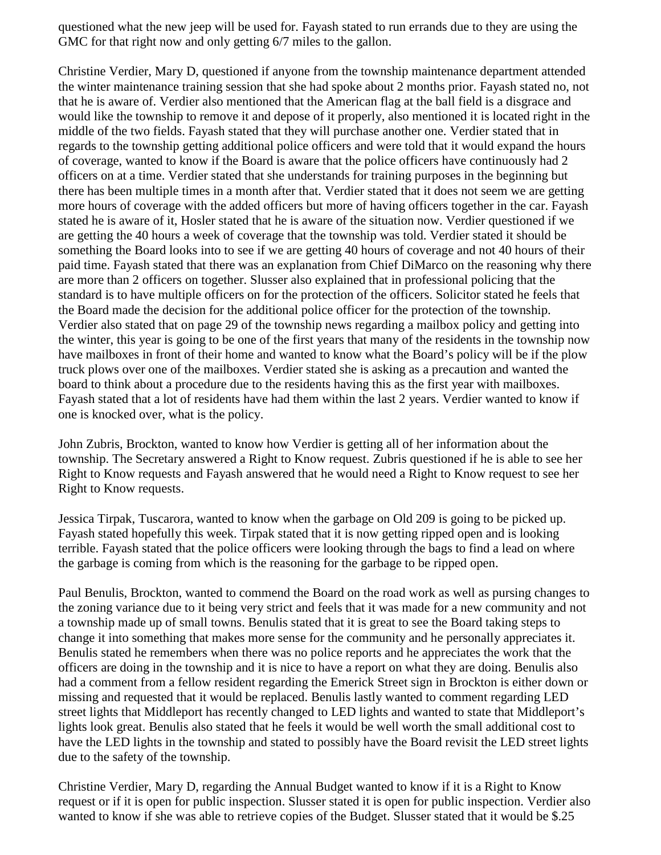questioned what the new jeep will be used for. Fayash stated to run errands due to they are using the GMC for that right now and only getting  $6/7$  miles to the gallon.

Christine Verdier, Mary D, questioned if anyone from the township maintenance department attended the winter maintenance training session that she had spoke about 2 months prior. Fayash stated no, not that he is aware of. Verdier also mentioned that the American flag at the ball field is a disgrace and would like the township to remove it and depose of it properly, also mentioned it is located right in the middle of the two fields. Fayash stated that they will purchase another one. Verdier stated that in regards to the township getting additional police officers and were told that it would expand the hours of coverage, wanted to know if the Board is aware that the police officers have continuously had 2 officers on at a time. Verdier stated that she understands for training purposes in the beginning but there has been multiple times in a month after that. Verdier stated that it does not seem we are getting more hours of coverage with the added officers but more of having officers together in the car. Fayash stated he is aware of it, Hosler stated that he is aware of the situation now. Verdier questioned if we are getting the 40 hours a week of coverage that the township was told. Verdier stated it should be something the Board looks into to see if we are getting 40 hours of coverage and not 40 hours of their paid time. Fayash stated that there was an explanation from Chief DiMarco on the reasoning why there are more than 2 officers on together. Slusser also explained that in professional policing that the standard is to have multiple officers on for the protection of the officers. Solicitor stated he feels that the Board made the decision for the additional police officer for the protection of the township. Verdier also stated that on page 29 of the township news regarding a mailbox policy and getting into the winter, this year is going to be one of the first years that many of the residents in the township now have mailboxes in front of their home and wanted to know what the Board's policy will be if the plow truck plows over one of the mailboxes. Verdier stated she is asking as a precaution and wanted the board to think about a procedure due to the residents having this as the first year with mailboxes. Fayash stated that a lot of residents have had them within the last 2 years. Verdier wanted to know if one is knocked over, what is the policy.

John Zubris, Brockton, wanted to know how Verdier is getting all of her information about the township. The Secretary answered a Right to Know request. Zubris questioned if he is able to see her Right to Know requests and Fayash answered that he would need a Right to Know request to see her Right to Know requests.

Jessica Tirpak, Tuscarora, wanted to know when the garbage on Old 209 is going to be picked up. Fayash stated hopefully this week. Tirpak stated that it is now getting ripped open and is looking terrible. Fayash stated that the police officers were looking through the bags to find a lead on where the garbage is coming from which is the reasoning for the garbage to be ripped open.

Paul Benulis, Brockton, wanted to commend the Board on the road work as well as pursing changes to the zoning variance due to it being very strict and feels that it was made for a new community and not a township made up of small towns. Benulis stated that it is great to see the Board taking steps to change it into something that makes more sense for the community and he personally appreciates it. Benulis stated he remembers when there was no police reports and he appreciates the work that the officers are doing in the township and it is nice to have a report on what they are doing. Benulis also had a comment from a fellow resident regarding the Emerick Street sign in Brockton is either down or missing and requested that it would be replaced. Benulis lastly wanted to comment regarding LED street lights that Middleport has recently changed to LED lights and wanted to state that Middleport's lights look great. Benulis also stated that he feels it would be well worth the small additional cost to have the LED lights in the township and stated to possibly have the Board revisit the LED street lights due to the safety of the township.

Christine Verdier, Mary D, regarding the Annual Budget wanted to know if it is a Right to Know request or if it is open for public inspection. Slusser stated it is open for public inspection. Verdier also wanted to know if she was able to retrieve copies of the Budget. Slusser stated that it would be \$.25